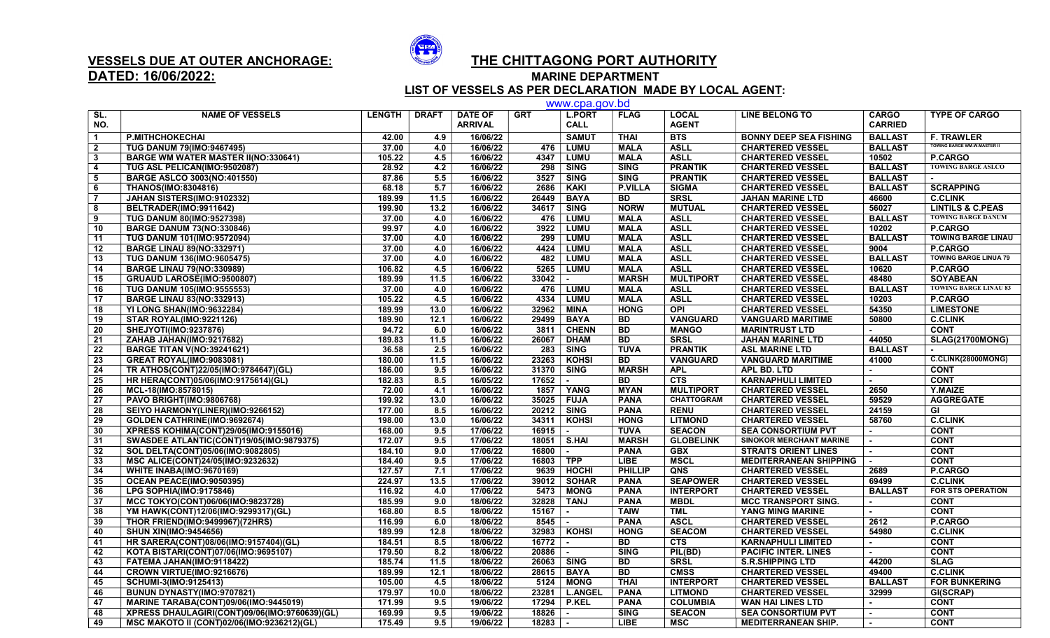

## DATED: 16/06/2022: MARINE DEPARTMENT

## VESSELS DUE AT OUTER ANCHORAGE:  $\overline{SP}$  THE CHITTAGONG PORT AUTHORITY

LIST OF VESSELS AS PER DECLARATION MADE BY LOCAL AGENT:

|                         |                                                 |               |              |                                  |              | www.cpa.gov.bd               |                |                              |                                |                                |                                    |
|-------------------------|-------------------------------------------------|---------------|--------------|----------------------------------|--------------|------------------------------|----------------|------------------------------|--------------------------------|--------------------------------|------------------------------------|
| SL.<br>NO.              | <b>NAME OF VESSELS</b>                          | <b>LENGTH</b> | <b>DRAFT</b> | <b>DATE OF</b><br><b>ARRIVAL</b> | <b>GRT</b>   | <b>L.PORT</b><br><b>CALL</b> | <b>FLAG</b>    | <b>LOCAL</b><br><b>AGENT</b> | <b>LINE BELONG TO</b>          | <b>CARGO</b><br><b>CARRIED</b> | <b>TYPE OF CARGO</b>               |
| $\overline{\mathbf{1}}$ | <b>P.MITHCHOKECHAI</b>                          | 42.00         | 4.9          | 16/06/22                         |              | <b>SAMUT</b>                 | <b>THAI</b>    | <b>BTS</b>                   | <b>BONNY DEEP SEA FISHING</b>  | <b>BALLAST</b>                 | <b>F. TRAWLER</b>                  |
| $\overline{2}$          | <b>TUG DANUM 79(IMO:9467495)</b>                | 37.00         | 4.0          | 16/06/22                         | 476          | <b>LUMU</b>                  | <b>MALA</b>    | <b>ASLL</b>                  | <b>CHARTERED VESSEL</b>        | <b>BALLAST</b>                 | <b>TOWING BARGE WM.W.MASTER II</b> |
| $\mathbf{3}$            | <b>BARGE WM WATER MASTER II(NO:330641)</b>      | 105.22        | 4.5          | 16/06/22                         | 4347         | <b>LUMU</b>                  | <b>MALA</b>    | <b>ASLL</b>                  | <b>CHARTERED VESSEL</b>        | 10502                          | <b>P.CARGO</b>                     |
| $\overline{4}$          | TUG ASL PELICAN(IMO:9502087)                    | 28.92         | 4.2          | 16/06/22                         | 298          | <b>SING</b>                  | <b>SING</b>    | <b>PRANTIK</b>               | <b>CHARTERED VESSEL</b>        | <b>BALLAST</b>                 | <b>TOWING BARGE ASLCO</b>          |
| 5                       | <b>BARGE ASLCO 3003(NO:401550)</b>              | 87.86         | 5.5          | 16/06/22                         | 3527         | <b>SING</b>                  | <b>SING</b>    | <b>PRANTIK</b>               | <b>CHARTERED VESSEL</b>        | <b>BALLAST</b>                 |                                    |
| 6                       | <b>THANOS(IMO:8304816)</b>                      | 68.18         | 5.7          | 16/06/22                         | 2686         | <b>KAKI</b>                  | <b>P.VILLA</b> | <b>SIGMA</b>                 | <b>CHARTERED VESSEL</b>        | <b>BALLAST</b>                 | <b>SCRAPPING</b>                   |
| $\overline{7}$          | JAHAN SISTERS(IMO:9102332)                      | 189.99        | 11.5         | 16/06/22                         | 26449        | <b>BAYA</b>                  | <b>BD</b>      | <b>SRSL</b>                  | <b>JAHAN MARINE LTD</b>        | 46600                          | <b>C.CLINK</b>                     |
| 8                       | BELTRADER(IMO:9911642)                          | 199.90        | 13.2         | 16/06/22                         | 34617        | <b>SING</b>                  | <b>NORW</b>    | <b>MUTUAL</b>                | <b>CHARTERED VESSEL</b>        | 56027                          | <b>LINTILS &amp; C.PEAS</b>        |
| 9                       | <b>TUG DANUM 80(IMO:9527398)</b>                | 37.00         | 4.0          | 16/06/22                         | 476          | <b>LUMU</b>                  | <b>MALA</b>    | <b>ASLL</b>                  | <b>CHARTERED VESSEL</b>        | <b>BALLAST</b>                 | <b>TOWING BARGE DANUM</b>          |
| 10                      | <b>BARGE DANUM 73(NO:330846)</b>                | 99.97         | 4.0          | 16/06/22                         | 3922         | <b>LUMU</b>                  | <b>MALA</b>    | <b>ASLL</b>                  | <b>CHARTERED VESSEL</b>        | 10202                          | <b>P.CARGO</b>                     |
| 11                      | TUG DANUM 101(IMO:9572094)                      | 37.00         | 4.0          | 16/06/22                         | 299          | <b>LUMU</b>                  | <b>MALA</b>    | <b>ASLL</b>                  | <b>CHARTERED VESSEL</b>        | <b>BALLAST</b>                 | <b>TOWING BARGE LINAU</b>          |
| 12                      | <b>BARGE LINAU 89(NO:332971)</b>                | 37.00         | 4.0          | 16/06/22                         | 4424         | <b>LUMU</b>                  | <b>MALA</b>    | <b>ASLL</b>                  | <b>CHARTERED VESSEL</b>        | 9004                           | <b>P.CARGO</b>                     |
| 13                      | TUG DANUM 136(IMO:9605475)                      | 37.00         | 4.0          | 16/06/22                         | 482          | <b>LUMU</b>                  | <b>MALA</b>    | <b>ASLL</b>                  | <b>CHARTERED VESSEL</b>        | <b>BALLAST</b>                 | <b>TOWING BARGE LINUA 79</b>       |
| 14                      | <b>BARGE LINAU 79(NO:330989)</b>                | 106.82        | 4.5          | 16/06/22                         | 5265         | <b>LUMU</b>                  | <b>MALA</b>    | <b>ASLL</b>                  | <b>CHARTERED VESSEL</b>        | 10620                          | <b>P.CARGO</b>                     |
| 15                      | <b>GRUAUD LAROSE(IMO:9500807)</b>               | 189.99        | 11.5         | 16/06/22                         | 33042        |                              | <b>MARSH</b>   | <b>MULTIPORT</b>             | <b>CHARTERED VESSEL</b>        | 48480                          | <b>SOYABEAN</b>                    |
| 16                      | <b>TUG DANUM 105(IMO:9555553)</b>               | 37.00         | 4.0          | 16/06/22                         | 476          | LUMU                         | <b>MALA</b>    | <b>ASLL</b>                  | <b>CHARTERED VESSEL</b>        | <b>BALLAST</b>                 | <b>TOWING BARGE LINAU 83</b>       |
| 17                      | <b>BARGE LINAU 83(NO:332913)</b>                | 105.22        | 4.5          | 16/06/22                         | 4334         | <b>LUMU</b>                  | <b>MALA</b>    | <b>ASLL</b>                  | <b>CHARTERED VESSEL</b>        | 10203                          | <b>P.CARGO</b>                     |
| 18                      | YI LONG SHAN(IMO:9632284)                       | 189.99        | 13.0         | 16/06/22                         | 32962        | <b>MINA</b>                  | <b>HONG</b>    | <b>OPI</b>                   | <b>CHARTERED VESSEL</b>        | 54350                          | <b>LIMESTONE</b>                   |
| 19                      | <b>STAR ROYAL(IMO:9221126)</b>                  | 189.90        | 12.1         | 16/06/22                         | 29499        | <b>BAYA</b>                  | <b>BD</b>      | <b>VANGUARD</b>              | <b>VANGUARD MARITIME</b>       | 50800                          | <b>C.CLINK</b>                     |
| 20                      | SHEJYOTI(IMO:9237876)                           | 94.72         | 6.0          | 16/06/22                         | 3811         | <b>CHENN</b>                 | <b>BD</b>      | <b>MANGO</b>                 | <b>MARINTRUST LTD</b>          |                                | <b>CONT</b>                        |
| 21                      | ZAHAB JAHAN(IMO:9217682)                        | 189.83        | 11.5         | 16/06/22                         | 26067        | <b>DHAM</b>                  | <b>BD</b>      | <b>SRSL</b>                  | <b>JAHAN MARINE LTD</b>        | 44050                          | <b>SLAG(21700MONG)</b>             |
| 22                      | <b>BARGE TITAN V(NO:39241621)</b>               | 36.58         | 2.5          | 16/06/22                         | 283          | <b>SING</b>                  | <b>TUVA</b>    | <b>PRANTIK</b>               | <b>ASL MARINE LTD</b>          | <b>BALLAST</b>                 |                                    |
| $\overline{23}$         | <b>GREAT ROYAL(IMO:9083081)</b>                 | 180.00        | 11.5         | 16/06/22                         | 23263        | <b>KOHSI</b>                 | BD             | <b>VANGUARD</b>              | <b>VANGUARD MARITIME</b>       | 41000                          | <b>C.CLINK(28000MONG)</b>          |
| 24                      | TR ATHOS(CONT)22/05(IMO:9784647)(GL)            | 186.00        | 9.5          | 16/06/22                         | 31370        | <b>SING</b>                  | <b>MARSH</b>   | <b>APL</b>                   | <b>APL BD. LTD</b>             | $\mathbf{r}$                   | <b>CONT</b>                        |
| 25                      | HR HERA(CONT)05/06(IMO:9175614)(GL)             | 182.83        | 8.5          | 16/05/22                         | 17652        | $\sim$                       | BD             | <b>CTS</b>                   | <b>KARNAPHULI LIMITED</b>      | $\sim$                         | <b>CONT</b>                        |
| 26                      | MCL-18(IMO:8578015)                             | 72.00         | 4.1          | 16/06/22                         | 1857         | YANG                         | <b>MYAN</b>    | <b>MULTIPORT</b>             | <b>CHARTERED VESSEL</b>        | 2650                           | <b>Y.MAIZE</b>                     |
| 27                      | <b>PAVO BRIGHT(IMO:9806768)</b>                 | 199.92        | 13.0         | 16/06/22                         | 35025        | <b>FUJA</b>                  | <b>PANA</b>    | <b>CHATTOGRAM</b>            | <b>CHARTERED VESSEL</b>        | 59529                          | <b>AGGREGATE</b>                   |
| 28                      | SEIYO HARMONY(LINER)(IMO:9266152)               | 177.00        | 8.5          | 16/06/22                         | 20212        | <b>SING</b>                  | <b>PANA</b>    | <b>RENU</b>                  | <b>CHARTERED VESSEL</b>        | 24159                          | GI                                 |
| 29                      | GOLDEN CATHRINE(IMO:9692674)                    | 198.00        | 13.0         | 16/06/22                         | 34311        | <b>KOHSI</b>                 | <b>HONG</b>    | <b>LITMOND</b>               | <b>CHARTERED VESSEL</b>        | 58760                          | <b>C.CLINK</b>                     |
| 30                      | XPRESS KOHIMA(CONT)29/05(IMO:9155016)           | 168.00        | 9.5          | 17/06/22                         | 16915        |                              | <b>TUVA</b>    | <b>SEACON</b>                | <b>SEA CONSORTIUM PVT</b>      | $\sim$                         | <b>CONT</b>                        |
| 31                      | <b>SWASDEE ATLANTIC(CONT)19/05(IMO:9879375)</b> | 172.07        | 9.5          | 17/06/22                         |              | 18051   S.HAI                | <b>MARSH</b>   | <b>GLOBELINK</b>             | <b>SINOKOR MERCHANT MARINE</b> | $\mathbf{r}$                   | <b>CONT</b>                        |
| 32                      | SOL DELTA(CONT)05/06(IMO:9082805)               | 184.10        | 9.0          | 17/06/22                         | 16800        | $\sim$                       | <b>PANA</b>    | <b>GBX</b>                   | <b>STRAITS ORIENT LINES</b>    | $\sim$                         | <b>CONT</b>                        |
| 33                      | MSC ALICE(CONT)24/05(IMO:9232632)               | 184.40        | 9.5          | 17/06/22                         | 16803 TPP    |                              | <b>LIBE</b>    | <b>MSCL</b>                  | <b>MEDITERRANEAN SHIPPING</b>  |                                | <b>CONT</b>                        |
| 34                      | WHITE INABA(IMO:9670169)                        | 127.57        | 7.1          | 17/06/22                         | 9639         | <b>HOCHI</b>                 | <b>PHILLIP</b> | <b>QNS</b>                   | <b>CHARTERED VESSEL</b>        | 2689                           | <b>P.CARGO</b>                     |
| 35                      | OCEAN PEACE(IMO:9050395)                        | 224.97        | 13.5         | 17/06/22                         | 39012        | <b>SOHAR</b>                 | <b>PANA</b>    | <b>SEAPOWER</b>              | <b>CHARTERED VESSEL</b>        | 69499                          | <b>C.CLINK</b>                     |
| 36                      | <b>LPG SOPHIA(IMO:9175846)</b>                  | 116.92        | 4.0          | 17/06/22                         | 5473         | <b>MONG</b>                  | <b>PANA</b>    | <b>INTERPORT</b>             | <b>CHARTERED VESSEL</b>        | <b>BALLAST</b>                 | <b>FOR STS OPERATION</b>           |
| 37                      | MCC TOKYO(CONT)06/06(IMO:9823728)               | 185.99        | 9.0          | 18/06/22                         | 32828        | <b>TANJ</b>                  | <b>PANA</b>    | <b>MBDL</b>                  | <b>MCC TRANSPORT SING.</b>     | $\mathbf{r}$                   | <b>CONT</b>                        |
| 38                      | YM HAWK(CONT)12/06(IMO:9299317)(GL)             | 168.80        | 8.5          | 18/06/22                         | 15167        |                              | <b>TAIW</b>    | <b>TML</b>                   | YANG MING MARINE               | $\sim$                         | <b>CONT</b>                        |
| 39                      | <b>THOR FRIEND(IMO:9499967)(72HRS)</b>          | 116.99        | 6.0          | 18/06/22                         | 8545         |                              | <b>PANA</b>    | <b>ASCL</b>                  | <b>CHARTERED VESSEL</b>        | 2612                           | P.CARGO                            |
| 40                      | <b>SHUN XIN(IMO:9454656)</b>                    | 189.99        | 12.8         | 18/06/22                         | 32983        | <b>KOHSI</b>                 | <b>HONG</b>    | <b>SEACOM</b>                | <b>CHARTERED VESSEL</b>        | 54980                          | <b>C.CLINK</b>                     |
| 41                      | HR SARERA(CONT)08/06(IMO:9157404)(GL)           | 184.51        | 8.5          | 18/06/22                         | 16772        |                              | BD             | <b>CTS</b>                   | <b>KARNAPHULI LIMITED</b>      |                                | <b>CONT</b>                        |
| 42                      | KOTA BISTARI(CONT)07/06(IMO:9695107)            | 179.50        | 8.2          | 18/06/22                         | 20886        |                              | <b>SING</b>    | PIL(BD)                      | <b>PACIFIC INTER. LINES</b>    | $\sim$                         | <b>CONT</b>                        |
| 43                      | FATEMA JAHAN(IMO:9118422)                       | 185.74        | 11.5         | 18/06/22                         | 26063   SING |                              | <b>BD</b>      | <b>SRSL</b>                  | <b>S.R.SHIPPING LTD</b>        | 44200                          | <b>SLAG</b>                        |
| 44                      | CROWN VIRTUE(IMO:9216676)                       | 189.99        | 12.1         | 18/06/22                         | 28615        | <b>BAYA</b>                  | <b>BD</b>      | <b>CMSS</b>                  | <b>CHARTERED VESSEL</b>        | 49400                          | <b>C.CLINK</b>                     |
| 45                      | SCHUMI-3(IMO:9125413)                           | 105.00        | 4.5          | 18/06/22                         | 5124         | <b>MONG</b>                  | <b>THAI</b>    | <b>INTERPORT</b>             | <b>CHARTERED VESSEL</b>        | <b>BALLAST</b>                 | <b>FOR BUNKERING</b>               |
| 46                      | BUNUN DYNASTY(IMO:9707821)                      | 179.97        | 10.0         | 18/06/22                         | 23281        | <b>L.ANGEL</b>               | <b>PANA</b>    | <b>LITMOND</b>               | <b>CHARTERED VESSEL</b>        | 32999                          | GI(SCRAP)                          |
| 47                      | <b>MARINE TARABA(CONT)09/06(IMO:9445019)</b>    | 171.99        | 9.5          | 19/06/22                         | 17294        | P.KEL                        | <b>PANA</b>    | <b>COLUMBIA</b>              | <b>WAN HAI LINES LTD</b>       |                                | <b>CONT</b>                        |
| 48                      | XPRESS DHAULAGIRI(CONT)09/06(IMO:9760639)(GL)   | 169.99        | 9.5          | 19/06/22                         | 18826        |                              | <b>SING</b>    | <b>SEACON</b>                | <b>SEA CONSORTIUM PVT</b>      |                                | <b>CONT</b>                        |
| 49                      | MSC MAKOTO II (CONT)02/06(IMO:9236212)(GL)      | 175.49        | 9.5          | 19/06/22                         | 18283        |                              | <b>LIBE</b>    | <b>MSC</b>                   | <b>MEDITERRANEAN SHIP.</b>     | $\mathbf{r}$                   | <b>CONT</b>                        |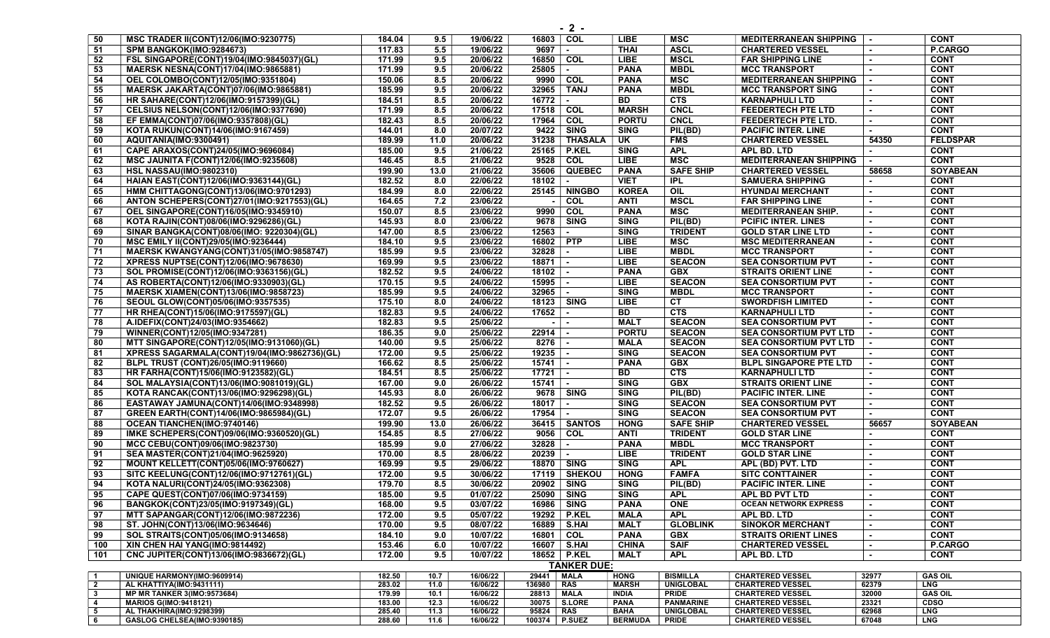| 50                               | <b>MSC TRADER II(CONT)12/06(IMO:9230775)</b>             | 184.04           | 9.5          | 19/06/22             | 16803 COL      |                      | LIBE                       | <b>MSC</b>                           | <b>MEDITERRANEAN SHIPPING</b>                      |                | <b>CONT</b>                   |
|----------------------------------|----------------------------------------------------------|------------------|--------------|----------------------|----------------|----------------------|----------------------------|--------------------------------------|----------------------------------------------------|----------------|-------------------------------|
| 51                               | SPM BANGKOK(IMO:9284673)                                 | 117.83           | 5.5          | 19/06/22             | 9697           | $\blacksquare$       | <b>THAI</b>                | <b>ASCL</b>                          | <b>CHARTERED VESSEL</b>                            |                | P.CARGO                       |
| 52                               | FSL SINGAPORE(CONT)19/04(IMO:9845037)(GL)                | 171.99           | 9.5          | 20/06/22             | 16850          | COL                  | <b>LIBE</b>                | <b>MSCL</b>                          | <b>FAR SHIPPING LINE</b>                           |                | <b>CONT</b>                   |
| 53                               | <b>MAERSK NESNA(CONT)17/04(IMO:9865881)</b>              | 171.99           | 9.5          | 20/06/22             | 25805          | $\sim$               | <b>PANA</b>                | <b>MBDL</b>                          | <b>MCC TRANSPORT</b>                               |                | <b>CONT</b>                   |
| 54                               | OEL COLOMBO(CONT)12/05(IMO:9351804)                      | 150.06           | 8.5          | 20/06/22             | 9990           | COL                  | <b>PANA</b>                | MSC                                  | <b>MEDITERRANEAN SHIPPING</b>                      |                | <b>CONT</b>                   |
| 55                               | MAERSK JAKARTA(CONT)07/06(IMO:9865881)                   | 185.99           | 9.5          | 20/06/22             | 32965          | <b>TANJ</b>          | <b>PANA</b>                | <b>MBDL</b>                          | <b>MCC TRANSPORT SING</b>                          |                | <b>CONT</b>                   |
| 56                               | HR SAHARE(CONT)12/06(IMO:9157399)(GL)                    | 184.51           | 8.5          | 20/06/22             | 16772          |                      | <b>BD</b>                  | <b>CTS</b>                           | <b>KARNAPHULI LTD</b>                              |                | <b>CONT</b>                   |
| 57                               | CELSIUS NELSON(CONT)12/06(IMO:9377690)                   | 171.99           | 8.5          | 20/06/22             | 17518          | COL                  | <b>MARSH</b>               | <b>CNCL</b>                          | <b>FEEDERTECH PTE LTD</b>                          |                | <b>CONT</b>                   |
| 58                               | EF EMMA(CONT)07/06(IMO:9357808)(GL)                      | 182.43           | 8.5          | 20/06/22             | 17964          | COL                  | <b>PORTU</b>               | <b>CNCL</b>                          | FEEDERTECH PTE LTD.                                |                | <b>CONT</b>                   |
| 59                               | KOTA RUKUN(CONT)14/06(IMO:9167459)                       | 144.01           | 8.0          | 20/07/22             | 9422           | <b>SING</b>          | <b>SING</b>                | PIL(BD)                              | <b>PACIFIC INTER. LINE</b>                         |                | <b>CONT</b>                   |
| 60                               | AQUITANIA(IMO:9300491)                                   | 189.99           | 11.0         | 20/06/22             |                | 31238   THASALA      | $\overline{\mathsf{u}}$    | <b>FMS</b>                           | <b>CHARTERED VESSEL</b>                            | 54350          | <b>FELDSPAR</b>               |
| 61                               | CAPE ARAXOS(CONT)24/05(IMO:9696084)                      | 185.00           | 9.5          | 21/06/22             |                | 25165 P.KEL          | <b>SING</b>                | <b>APL</b>                           | APL BD. LTD                                        |                | <b>CONT</b>                   |
| 62                               | <b>MSC JAUNITA F(CONT)12/06(IMO:9235608)</b>             | 146.45           | 8.5          | 21/06/22             |                | 9528 COL             | <b>LIBE</b>                | MSC                                  | <b>MEDITERRANEAN SHIPPING</b>                      |                | <b>CONT</b>                   |
| 63                               | <b>HSL NASSAU(IMO:9802310)</b>                           | 199.90           | 13.0         | 21/06/22             |                | 35606 QUEBEC         | <b>PANA</b>                | <b>SAFE SHIP</b>                     | <b>CHARTERED VESSEL</b>                            | 58658          | <b>SOYABEAN</b>               |
| 64                               | HAIAN EAST(CONT)12/06(IMO:9363144)(GL)                   | 182.52           | 8.0          | 22/06/22             | 18102          | $\sim$               | <b>VIET</b>                | <b>IPL</b>                           | <b>SAMUERA SHIPPING</b>                            |                | <b>CONT</b>                   |
| 65                               | HMM CHITTAGONG(CONT)13/06(IMO:9701293)                   | 184.99           | 8.0          | 22/06/22             |                | 25145   NINGBO       | <b>KOREA</b>               | $\overline{OIL}$                     | <b>HYUNDAI MERCHANT</b>                            |                | <b>CONT</b>                   |
|                                  | ANTON SCHEPERS(CONT)27/01(IMO:9217553)(GL)               | 164.65           | 7.2          | 23/06/22             |                | COL                  | <b>ANTI</b>                | <b>MSCL</b>                          | <b>FAR SHIPPING LINE</b>                           |                | <b>CONT</b>                   |
| 66                               | OEL SINGAPORE(CONT)16/05(IMO:9345910)                    | 150.07           | 8.5          | 23/06/22             | $\sim$<br>9990 | COL                  | <b>PANA</b>                | <b>MSC</b>                           | <b>MEDITERRANEAN SHIP.</b>                         |                | <b>CONT</b>                   |
| 67                               |                                                          | 145.93           | 8.0          | 23/06/22             | 9678           | <b>SING</b>          | <b>SING</b>                |                                      |                                                    |                | <b>CONT</b>                   |
| 68                               | KOTA RAJIN(CONT)08/06(IMO:9296286)(GL)                   |                  |              |                      |                |                      |                            | PIL(BD)                              | <b>PCIFIC INTER. LINES</b>                         |                |                               |
| 69                               | SINAR BANGKA(CONT)08/06(IMO: 9220304)(GL)                | 147.00           | 8.5          | 23/06/22             | 12563          |                      | <b>SING</b>                | <b>TRIDENT</b>                       | <b>GOLD STAR LINE LTD</b>                          |                | <b>CONT</b>                   |
| 70                               | MSC EMILY II(CONT)29/05(IMO:9236444)                     | 184.10           | 9.5          | 23/06/22             | 16802 PTP      |                      | <b>LIBE</b>                | <b>MSC</b>                           | <b>MSC MEDITERRANEAN</b>                           |                | <b>CONT</b>                   |
| 71                               | MAERSK KWANGYANG(CONT)31/05(IMO:9858747)                 | 185.99           | 9.5          | 23/06/22             | 32828          | $\sim$               | <b>LIBE</b>                | <b>MBDL</b>                          | <b>MCC TRANSPORT</b>                               |                | <b>CONT</b>                   |
| 72                               | XPRESS NUPTSE(CONT)12/06(IMO:9678630)                    | 169.99           | 9.5          | 23/06/22             | 18871          |                      | <b>LIBE</b>                | <b>SEACON</b>                        | <b>SEA CONSORTIUM PVT</b>                          |                | <b>CONT</b>                   |
| 73                               | SOL PROMISE(CONT)12/06(IMO:9363156)(GL)                  | 182.52           | 9.5          | 24/06/22             | 18102          |                      | <b>PANA</b>                | <b>GBX</b>                           | <b>STRAITS ORIENT LINE</b>                         |                | <b>CONT</b>                   |
| 74                               | AS ROBERTA(CONT)12/06(IMO:9330903)(GL)                   | 170.15           | 9.5          | 24/06/22             | 15995          | $\sim$               | <b>LIBE</b>                | <b>SEACON</b>                        | <b>SEA CONSORTIUM PVT</b>                          |                | <b>CONT</b>                   |
| 75                               | <b>MAERSK XIAMEN(CONT)13/06(IMO:9858723)</b>             | 185.99           | 9.5          | 24/06/22             | 32965          | $\sim$               | <b>SING</b>                | <b>MBDL</b>                          | <b>MCC TRANSPORT</b>                               |                | <b>CONT</b>                   |
| 76                               | SEOUL GLOW(CONT)05/06(IMO:9357535)                       | 175.10           | 8.0          | 24/06/22             | 18123 SING     |                      | LIBE                       | <b>CT</b>                            | <b>SWORDFISH LIMITED</b>                           |                | <b>CONT</b>                   |
| 77                               | HR RHEA(CONT)15/06(IMO:9175597)(GL)                      | 182.83           | 9.5          | 24/06/22             | 17652          |                      | <b>BD</b>                  | CTS                                  | <b>KARNAPHULI LTD</b>                              |                | <b>CONT</b>                   |
| 78                               | A.IDEFIX(CONT)24/03(IMO:9354662)                         | 182.83           | 9.5          | 25/06/22             | $\sim$         |                      | <b>MALT</b>                | <b>SEACON</b>                        | <b>SEA CONSORTIUM PVT</b>                          |                | <b>CONT</b>                   |
| 79                               | WINNER(CONT)12/05(IMO:9347281)                           | 186.35           | 9.0          | 25/06/22             | $22914$ -      |                      | <b>PORTU</b>               | <b>SEACON</b>                        | <b>SEA CONSORTIUM PVT LTD</b>                      | $\sim$         | <b>CONT</b>                   |
| 80                               | MTT SINGAPORE(CONT)12/05(IMO:9131060)(GL)                | 140.00           | 9.5          | 25/06/22             | 8276           | $\sim$               | <b>MALA</b>                | <b>SEACON</b>                        | SEA CONSORTIUM PVT LTD                             |                | <b>CONT</b>                   |
| 81                               | XPRESS SAGARMALA(CONT)19/04(IMO:9862736)(GL)             | 172.00           | 9.5          | 25/06/22             | 19235          |                      | <b>SING</b>                | <b>SEACON</b>                        | <b>SEA CONSORTIUM PVT</b>                          |                | <b>CONT</b>                   |
| 82                               | BLPL TRUST (CONT)26/05(IMO:9119660)                      | 166.62           | 8.5          | 25/06/22             | 15741          |                      | <b>PANA</b>                | <b>GBX</b>                           | <b>BLPL SINGAPORE PTE LTD</b>                      |                | <b>CONT</b>                   |
| 83                               | HR FARHA(CONT)15/06(IMO:9123582)(GL)                     | 184.51           | 8.5          | 25/06/22             | 17721          |                      | <b>BD</b>                  | <b>CTS</b>                           | <b>KARNAPHULI LTD</b>                              |                | <b>CONT</b>                   |
| 84                               | SOL MALAYSIA(CONT)13/06(IMO:9081019)(GL)                 | 167.00           | 9.0          | 26/06/22             | 15741          | $\sim$               | <b>SING</b>                | <b>GBX</b>                           | <b>STRAITS ORIENT LINE</b>                         |                | <b>CONT</b>                   |
| 85                               | KOTA RANCAK(CONT)13/06(IMO:9296298)(GL)                  | 145.93           | 8.0          | 26/06/22             |                | 9678   SING          | <b>SING</b>                | PIL(BD)                              | <b>PACIFIC INTER. LINE</b>                         |                | <b>CONT</b>                   |
| 86                               | EASTAWAY JAMUNA(CONT)14/06(IMO:9348998)                  | 182.52           | 9.5          | 26/06/22             | 18017          |                      | <b>SING</b>                | <b>SEACON</b>                        | <b>SEA CONSORTIUM PVT</b>                          |                | <b>CONT</b>                   |
| 87                               | GREEN EARTH(CONT)14/06(IMO:9865984)(GL)                  | 172.07           | 9.5          | 26/06/22             | 17954          | $\sim$               | <b>SING</b>                | <b>SEACON</b>                        | <b>SEA CONSORTIUM PVT</b>                          | $\sim$         | <b>CONT</b>                   |
| 88                               | <b>OCEAN TIANCHEN(IMO:9740146)</b>                       | 199.90           | 13.0         | 26/06/22             |                | 36415   SANTOS       | <b>HONG</b>                | <b>SAFE SHIP</b>                     | <b>CHARTERED VESSEL</b>                            | 56657          | <b>SOYABEAN</b>               |
| 89                               | IMKE SCHEPERS(CONT)09/06(IMO:9360520)(GL)                | 154.85           | 8.5          | 27/06/22             | 9056 COL       |                      | <b>ANTI</b>                | <b>TRIDENT</b>                       | <b>GOLD STAR LINE</b>                              |                | <b>CONT</b>                   |
| 90                               | MCC CEBU(CONT)09/06(IMO:9823730)                         | 185.99           | 9.0          | 27/06/22             | 32828          |                      | <b>PANA</b>                | <b>MBDL</b>                          | <b>MCC TRANSPORT</b>                               |                | <b>CONT</b>                   |
| 91                               | SEA MASTER(CONT)21/04(IMO:9625920)                       | 170.00           | 8.5          | 28/06/22             | 20239          |                      | <b>LIBE</b>                | <b>TRIDENT</b>                       | <b>GOLD STAR LINE</b>                              |                | <b>CONT</b>                   |
| 92                               | <b>MOUNT KELLETT(CONT)05/06(IMO:9760627)</b>             | 169.99           | 9.5          | 29/06/22             | 18870   SING   |                      | <b>SING</b>                | <b>APL</b>                           | APL (BD) PVT. LTD                                  | $\sim$         | <b>CONT</b>                   |
| 93                               | SITC KEELUNG(CONT)12/06(IMO:9712761)(GL)                 | 172.00           | 9.5          | 30/06/22             |                | 17119   SHEKOU       | <b>HONG</b>                | <b>FAMFA</b>                         | <b>SITC CONTTAINER</b>                             |                | <b>CONT</b>                   |
| 94                               | KOTA NALURI(CONT)24/05(IMO:9362308)                      | 179.70           | 8.5          | 30/06/22             | 20902          | <b>SING</b>          | <b>SING</b>                | PIL(BD)                              | <b>PACIFIC INTER, LINE</b>                         |                | <b>CONT</b>                   |
| 95                               | CAPE QUEST(CONT)07/06(IMO:9734159)                       | 185.00           | 9.5          | 01/07/22             | 25090   SING   |                      | <b>SING</b>                | <b>APL</b>                           | APL BD PVT LTD                                     |                | <b>CONT</b>                   |
| 96                               | BANGKOK(CONT)23/05(IMO:9197349)(GL)                      | 168.00           | 9.5          | 03/07/22             | 16986   SING   |                      | <b>PANA</b>                | <b>ONE</b>                           | <b>OCEAN NETWORK EXPRESS</b>                       |                | <b>CONT</b>                   |
| 97                               | MTT SAPANGAR(CONT)12/06(IMO:9872236)                     | 172.00           | 9.5          | 05/07/22             |                | 19292   P.KEL        | <b>MALA</b>                | <b>APL</b>                           | APL BD. LTD                                        |                | <b>CONT</b>                   |
| 98                               | ST. JOHN(CONT)13/06(IMO:9634646)                         | 170.00           | 9.5          | 08/07/22             | 16889   S.HAI  |                      | <b>MALT</b>                | <b>GLOBLINK</b>                      | <b>SINOKOR MERCHANT</b>                            |                | <b>CONT</b>                   |
| 99                               | SOL STRAITS(CONT)05/06(IMO:9134658)                      | 184.10           | 9.0          | 10/07/22             | 16801          | <b>COL</b>           | <b>PANA</b>                | <b>GBX</b>                           | <b>STRAITS ORIENT LINES</b>                        |                | <b>CONT</b>                   |
| 100                              | XIN CHEN HAI YANG(IMO:9814492)                           | 153.46           | 6.0          | 10/07/22             | 16607   S.HAI  |                      | <b>CHINA</b>               | <b>SAIF</b>                          | <b>CHARTERED VESSEL</b>                            |                | P.CARGO                       |
| 101                              | CNC JUPITER(CONT)13/06(IMO:9836672)(GL)                  | 172.00           | 9.5          | 10/07/22             | 18652 P.KEL    |                      | MALT                       | <b>APL</b>                           | APL BD. LTD                                        |                | <b>CONT</b>                   |
|                                  |                                                          |                  |              |                      |                | <b>TANKER DUE:</b>   |                            |                                      |                                                    |                |                               |
| $\overline{1}$                   | UNIQUE HARMONY(IMO:9609914)                              | 182.50           | 10.7         | 16/06/22             | 29441          | MALA                 | <b>HONG</b>                | <b>BISMILLA</b>                      | <b>CHARTERED VESSEL</b>                            | 32977          | <b>GAS OIL</b>                |
| $\overline{2}$                   | AL KHATTIYA(IMO:9431111)                                 | 283.02           | 11.0         | 16/06/22             | 136980         | RAS                  | <b>MARSH</b>               | <b>UNIGLOBAL</b>                     | <b>CHARTERED VESSEL</b>                            | 62379          | <b>LNG</b>                    |
| $\mathbf{3}$                     | <b>MP MR TANKER 3(IMO:9573684)</b>                       | 179.99<br>183.00 | 10.1<br>12.3 | 16/06/22             | 28813          | <b>MALA</b>          | <b>INDIA</b>               | <b>PRIDE</b>                         | <b>CHARTERED VESSEL</b>                            | 32000          | <b>GAS OIL</b><br><b>CDSO</b> |
| $\overline{4}$<br>5              | <b>MARIOS G(IMO:9418121)</b><br>AL THAKHIRA(IMO:9298399) | 285.40           | 11.3         | 16/06/22<br>16/06/22 | 30075<br>95824 | <b>S.LORE</b><br>RAS | <b>PANA</b><br><b>BAHA</b> | <b>PANMARINE</b><br><b>UNIGLOBAL</b> | <b>CHARTERED VESSEL</b><br><b>CHARTERED VESSEL</b> | 23321<br>62968 | <b>LNG</b>                    |
| $\begin{array}{c} 6 \end{array}$ | GASLOG CHELSEA(IMO:9390185)                              | 288.60           | 11.6         | 16/06/22             | 100374         | <b>P.SUEZ</b>        | <b>BERMUDA</b>             | <b>PRIDE</b>                         | <b>CHARTERED VESSEL</b>                            | 67048          | <b>LNG</b>                    |
|                                  |                                                          |                  |              |                      |                |                      |                            |                                      |                                                    |                |                               |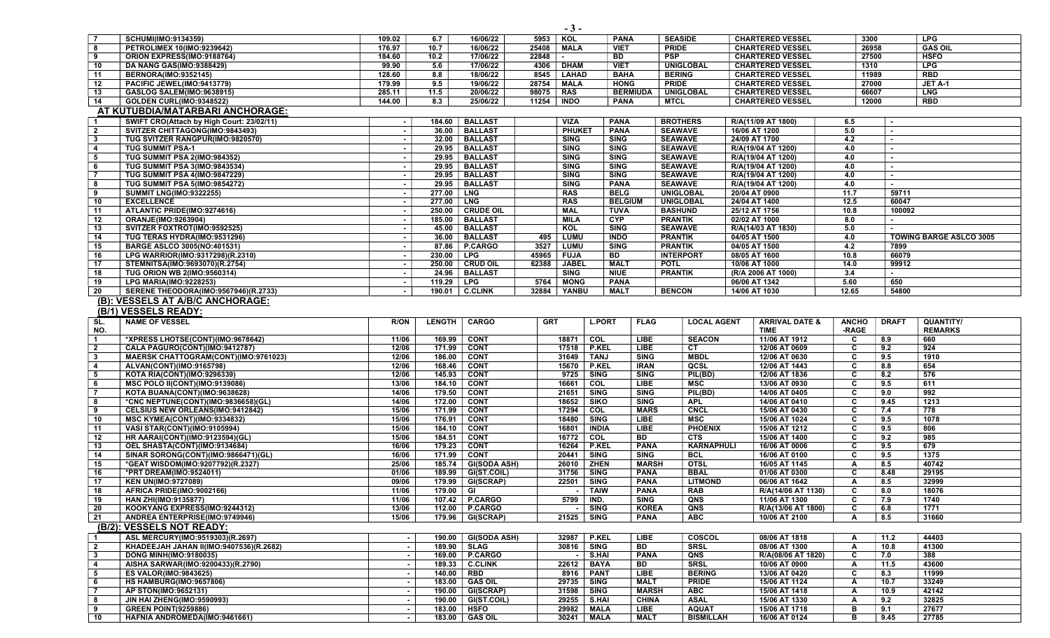|                         | <b>SCHUMI(IMO:9134359)</b>                | 109.02 | 6.7    | 16/06/22         | 5953  | KOL           | <b>PANA</b>     | <b>SEASIDE</b>   | <b>CHARTERED VESSEL</b> | 3300  | <b>LPG</b>                     |  |  |  |
|-------------------------|-------------------------------------------|--------|--------|------------------|-------|---------------|-----------------|------------------|-------------------------|-------|--------------------------------|--|--|--|
| -8                      | <b>PETROLIMEX 10(IMO:9239642)</b>         | 176.97 | 10.7   | 16/06/22         | 25408 | MALA          | <b>VIET</b>     | <b>PRIDE</b>     | <b>CHARTERED VESSEL</b> | 26958 | <b>GAS OIL</b>                 |  |  |  |
| -9                      | ORION EXPRESS(IMO:9188764)                | 184.60 | 10.2   | 17/06/22         | 22848 |               | <b>BD</b>       | <b>PSP</b>       | <b>CHARTERED VESSEL</b> | 27500 | <b>HSFO</b>                    |  |  |  |
| 10                      | <b>DA NANG GAS(IMO:9388429)</b>           | 99.90  | 5.6    | 17/06/22         | 4306  | <b>DHAM</b>   | <b>VIET</b>     | <b>UNIGLOBAL</b> | <b>CHARTERED VESSEL</b> | 1310  | <b>LPG</b>                     |  |  |  |
| 11                      | <b>BERNORA(IMO:9352145)</b>               | 128.60 | 8.8    | 18/06/22         | 8545  | LAHAD         | <b>BAHA</b>     | <b>BERING</b>    | <b>CHARTERED VESSEL</b> | 11989 | <b>RBD</b>                     |  |  |  |
| 12                      | PACIFIC JEWEL(IMO:9413779)                | 179.99 | 9.5    | 19/06/22         | 28754 | MALA          | <b>HONG</b>     | <b>PRIDE</b>     | <b>CHARTERED VESSEL</b> | 27000 | JET A-1                        |  |  |  |
| 13                      | <b>GASLOG SALEM(IMO:9638915)</b>          | 285.11 | 11.5   | 20/06/22         | 98075 | <b>RAS</b>    | <b>BERMIUDA</b> | <b>UNIGLOBAL</b> | <b>CHARTERED VESSEL</b> | 66607 | <b>LNG</b>                     |  |  |  |
| 14                      | <b>GOLDEN CURL(IMO:9348522)</b>           | 144.00 | 8.3    | 25/06/22         | 11254 | <b>INDO</b>   | <b>PANA</b>     | <b>MTCL</b>      | <b>CHARTERED VESSEL</b> | 12000 | RBD                            |  |  |  |
|                         | AT KUTUBDIA/MATARBARI ANCHORAGE:          |        |        |                  |       |               |                 |                  |                         |       |                                |  |  |  |
|                         | SWIFT CRO(Attach by High Court: 23/02/11) |        | 184.60 | <b>BALLAST</b>   |       | <b>VIZA</b>   | <b>PANA</b>     | <b>BROTHERS</b>  | R/A(11/09 AT 1800)      | 6.5   | $\blacksquare$                 |  |  |  |
| $\overline{\mathbf{2}}$ | SVITZER CHITTAGONG(IMO:9843493)           |        | 36.00  | <b>BALLAST</b>   |       | <b>PHUKET</b> | <b>PANA</b>     | <b>SEAWAVE</b>   | 16/06 AT 1200           | 5.0   |                                |  |  |  |
| -3                      | TUG SVITZER RANGPUR(IMO:9820570)          |        | 32.00  | <b>BALLAST</b>   |       | <b>SING</b>   | <b>SING</b>     | <b>SEAWAVE</b>   | 24/09 AT 1700           | 4.2   |                                |  |  |  |
| 4                       | <b>TUG SUMMIT PSA-1</b>                   |        | 29.95  | <b>BALLAST</b>   |       | <b>SING</b>   | <b>SING</b>     | <b>SEAWAVE</b>   | R/A(19/04 AT 1200)      | 4.0   |                                |  |  |  |
| 5                       | TUG SUMMIT PSA 2(IMO:984352)              |        | 29.95  | <b>BALLAST</b>   |       | <b>SING</b>   | <b>SING</b>     | <b>SEAWAVE</b>   | R/A(19/04 AT 1200)      | 4.0   |                                |  |  |  |
| 6                       | <b>TUG SUMMIT PSA 3(IMO:9843534)</b>      |        | 29.95  | <b>BALLAST</b>   |       | <b>SING</b>   | <b>SING</b>     | <b>SEAWAVE</b>   | R/A(19/04 AT 1200)      | 4.0   |                                |  |  |  |
|                         | <b>TUG SUMMIT PSA 4(IMO:9847229)</b>      |        | 29.95  | <b>BALLAST</b>   |       | <b>SING</b>   | <b>SING</b>     | <b>SEAWAVE</b>   | R/A(19/04 AT 1200)      | 4.0   | $\blacksquare$                 |  |  |  |
| -8                      | <b>TUG SUMMIT PSA 5(IMO:9854272)</b>      |        | 29.95  | <b>BALLAST</b>   |       | <b>SING</b>   | <b>PANA</b>     | <b>SEAWAVE</b>   | R/A(19/04 AT 1200)      | 4.0   | $\sim$                         |  |  |  |
| - 9                     | <b>SUMMIT LNG(IMO:9322255)</b>            |        | 277.00 | <b>LNG</b>       |       | <b>RAS</b>    | <b>BELG</b>     | <b>UNIGLOBAL</b> | 20/04 AT 0900           | 11.7  | 59711                          |  |  |  |
| 10                      | <b>EXCELLENCE</b>                         |        | 277.00 | LNG              |       | <b>RAS</b>    | <b>BELGIUM</b>  | <b>UNIGLOBAL</b> | 24/04 AT 1400           | 12.5  | 60047                          |  |  |  |
| 11                      | ATLANTIC PRIDE(IMO:9274616)               |        | 250.00 | <b>CRUDE OIL</b> |       | MAL           | <b>TUVA</b>     | <b>BASHUND</b>   | 25/12 AT 1756           | 10.8  | 100092                         |  |  |  |
| 12                      | <b>ORANJE(IMO:9263904)</b>                |        | 185.00 | <b>BALLAST</b>   |       | <b>MILA</b>   | <b>CYP</b>      | <b>PRANTIK</b>   | 02/02 AT 1000           | 8.0   |                                |  |  |  |
| 13                      | SVITZER FOXTROT(IMO:9592525)              |        | 45.00  | <b>BALLAST</b>   |       | KOL           | <b>SING</b>     | <b>SEAWAVE</b>   | R/A(14/03 AT 1830)      | 5.0   |                                |  |  |  |
| 14                      | TUG TERAS HYDRA(IMO:9531296)              |        | 36.00  | <b>BALLAST</b>   |       | 495   LUMU    | <b>INDO</b>     | <b>PRANTIK</b>   | 04/05 AT 1500           | 4.0   | <b>TOWING BARGE ASLCO 3005</b> |  |  |  |
| 15                      | <b>BARGE ASLCO 3005(NO:401531)</b>        |        | 87.86  | <b>P.CARGO</b>   | 3527  | <b>LUMU</b>   | <b>SING</b>     | <b>PRANTIK</b>   | 04/05 AT 1500           | 4.2   | 7899                           |  |  |  |
| 16                      | LPG WARRIOR(IMO:9317298)(R.2310)          |        | 230.00 | <b>LPG</b>       | 45965 | FUJA          | <b>BD</b>       | <b>INTERPORT</b> | 08/05 AT 1600           | 10.8  | 66079                          |  |  |  |
| 17                      | STEMNITSA(IMO:9693070)(R.2754)            |        | 250.00 | <b>CRUD OIL</b>  | 62388 | <b>JABEL</b>  | <b>MALT</b>     | <b>POTL</b>      | 10/06 AT 1000           | 14.0  | 99912                          |  |  |  |
| 18                      | <b>TUG ORION WB 2(IMO:9560314)</b>        |        | 24.96  | <b>BALLAST</b>   |       | <b>SING</b>   | <b>NIUE</b>     | <b>PRANTIK</b>   | (R/A 2006 AT 1000)      | 3.4   |                                |  |  |  |
| 19                      | <b>LPG MARIA(IMO:9228253)</b>             |        | 119.29 | <b>LPG</b>       | 5764  | <b>MONG</b>   | <b>PANA</b>     |                  | 06/06 AT 1342           | 5.60  | 650                            |  |  |  |
| 20                      | SERENE THEODORA(IMO:9567946)(R.2733)      |        | 190.01 | <b>C.CLINK</b>   | 32884 | YANBU         | <b>MALT</b>     | <b>BENCON</b>    | 14/06 AT 1030           | 12.65 | 54800                          |  |  |  |

## (B): VESSELS AT A/B/C ANCHORAGE:

(B/1) VESSELS READY:

| SL.                     | <b>NAME OF VESSEL</b>                   | R/ON  | <b>LENGTH</b> | <b>CARGO</b>        | <b>GRT</b> | <b>L.PORT</b> | <b>FLAG</b>  | <b>LOCAL AGENT</b> | <b>ARRIVAL DATE &amp;</b> | <b>ANCHO</b> | <b>DRAFT</b> | QUANTITY/      |
|-------------------------|-----------------------------------------|-------|---------------|---------------------|------------|---------------|--------------|--------------------|---------------------------|--------------|--------------|----------------|
| NO.                     |                                         |       |               |                     |            |               |              |                    | <b>TIME</b>               | -RAGE        |              | <b>REMARKS</b> |
| $\overline{\mathbf{1}}$ | *XPRESS LHOTSE(CONT)(IMO:9678642)       | 11/06 | 169.99        | <b>CONT</b>         | 18871      | COL           | <b>LIBE</b>  | <b>SEACON</b>      | 11/06 AT 1912             | C            | 8.9          | 660            |
| $\overline{2}$          | CALA PAGURO(CONT)(IMO:9412787)          | 12/06 | 171.99        | <b>CONT</b>         | 17518      | P.KEL         | <b>LIBE</b>  | <b>CT</b>          | 12/06 AT 0609             | C            | 9.2          | 924            |
| $\mathbf{3}$            | MAERSK CHATTOGRAM(CONT)(IMO:9761023)    | 12/06 | 186.00        | <b>CONT</b>         | 31649      | <b>TANJ</b>   | SING         | <b>MBDL</b>        | 12/06 AT 0630             | C            | 9.5          | 1910           |
| $\overline{\mathbf{4}}$ | ALVAN(CONT)(IMO:9165798)                | 12/06 | 168.46        | <b>CONT</b>         | 15670      | <b>P.KEL</b>  | <b>IRAN</b>  | QCSL               | 12/06 AT 1443             | C            | 8.8          | 654            |
| -5                      | KOTA RIA(CONT)(IMO:9296339)             | 12/06 | 145.93        | <b>CONT</b>         | 9725       | <b>SING</b>   | <b>SING</b>  | PIL(BD)            | 12/06 AT 1836             | C            | 8.2          | 576            |
| - 6                     | <b>MSC POLO II(CONT)(IMO:9139086)</b>   | 13/06 | 184.10        | <b>CONT</b>         | 16661      | COL           | <b>LIBE</b>  | MSC                | 13/06 AT 0930             | C            | 9.5          | 611            |
| $\overline{7}$          | KOTA BUANA(CONT)(IMO:9638628)           | 14/06 | 179.50        | <b>CONT</b>         | 21651      | <b>SING</b>   | <b>SING</b>  | PIL(BD)            | 14/06 AT 0405             | C            | 9.0          | 992            |
| 8                       | *CNC NEPTUNE(CONT)(IMO:9836658)(GL)     | 14/06 | 172.00        | <b>CONT</b>         | 18652      | SIKO          | SING         | <b>APL</b>         | 14/06 AT 0410             | C            | 9.45         | 1213           |
| 9                       | <b>CELSIUS NEW ORLEANS(IMO:9412842)</b> | 15/06 | 171.99        | <b>CONT</b>         | 17294      | COL           | <b>MARS</b>  | <b>CNCL</b>        | 15/06 AT 0430             | C            | 7.4          | 778            |
| 10                      | MSC KYMEA(CONT)(IMO:9334832)            | 15/06 | 176.91        | <b>CONT</b>         | 18480      | <b>SING</b>   | <b>LIBE</b>  | <b>MSC</b>         | 15/06 AT 1024             | C            | 9.5          | 1078           |
| 11                      | VASI STAR(CONT)(IMO:9105994)            | 15/06 | 184.10        | <b>CONT</b>         | 16801      | <b>INDIA</b>  | <b>LIBE</b>  | <b>PHOENIX</b>     | 15/06 AT 1212             | C            | 9.5          | 806            |
| 12                      | <b>HR AARAI(CONT)(IMO:9123594)(GL)</b>  | 15/06 | 184.51        | <b>CONT</b>         | 16772      | COL           | BD           | CTS                | 15/06 AT 1400             | C            | 9.2          | 985            |
| 13                      | OEL SHASTA(CONT)(IMO:9134684)           | 16/06 | 179.23        | <b>CONT</b>         | 16264      | P.KEL         | <b>PANA</b>  | <b>KARNAPHULI</b>  | 16/06 AT 0006             | C            | 9.5          | 679            |
| 14                      | SINAR SORONG(CONT)(IMO:9866471)(GL)     | 16/06 | 171.99        | <b>CONT</b>         | 20441      | <b>SING</b>   | <b>SING</b>  | <b>BCL</b>         | 16/06 AT 0100             | C            | 9.5          | 1375           |
| 15                      | *GEAT WISDOM(IMO:9207792)(R.2327)       | 25/06 | 185.74        | <b>GI(SODA ASH)</b> | 26010      | <b>ZHEN</b>   | <b>MARSH</b> | <b>OTSL</b>        | 16/05 AT 1145             |              | 8.5          | 40742          |
| 16                      | *PRT DREAM(IMO:9524011)                 | 01/06 | 189.99        | GI(ST.COIL)         | 31756      | <b>SING</b>   | <b>PANA</b>  | <b>BBAL</b>        | 01/06 AT 0300             | C            | 8.48         | 29195          |
| 17                      | <b>KEN UN(IMO:9727089)</b>              | 09/06 | 179.99        | GI(SCRAP)           | 22501      | <b>SING</b>   | <b>PANA</b>  | <b>LITMOND</b>     | 06/06 AT 1642             | A            | 8.5          | 32999          |
| 18                      | AFRICA PRIDE(IMO:9002166)               | 11/06 | 179.00        | GI                  |            | <b>TAIW</b>   | <b>PANA</b>  | <b>RAB</b>         | R/A(14/06 AT 1130)        | C            | 8.0          | 18076          |
| 19                      | <b>HAN ZHI(IMO:9135877)</b>             | 11/06 | 107.42        | <b>P.CARGO</b>      | 5799       | IND.          | <b>SING</b>  | QNS                | 11/06 AT 1300             | C            | 7.9          | 1740           |
| 20                      | KOOKYANG EXPRESS(IMO:9244312)           | 13/06 | 112.00        | <b>P.CARGO</b>      |            | <b>SING</b>   | <b>KOREA</b> | QNS                | R/A(13/06 AT 1800)        | C            | 6.8          | 1771           |
| 21                      | ANDREA ENTERPRISE(IMO:9749946)          | 15/06 | 179.96 l      | <b>GI(SCRAP)</b>    | 21525      | <b>SING</b>   | <b>PANA</b>  | <b>ABC</b>         | 10/06 AT 2100             | A            | 8.5          | 31660          |
|                         | (B/2): VESSELS NOT READY:               |       |               |                     |            |               |              |                    |                           |              |              |                |
| $\mathbf{1}$            | ASL MERCURY(IMO:9519303)(R.2697)        |       | 190.00        | GI(SODA ASH)        | 32987      | <b>P.KEL</b>  | <b>LIBE</b>  | <b>COSCOL</b>      | 08/06 AT 1818             |              | 11.2         | 44403          |
| $\overline{2}$          | KHADEEJAH JAHAN II(IMO:9407536)(R.2682) |       | 189.90        | <b>SLAG</b>         | 30816      | <b>SING</b>   | <b>BD</b>    | <b>SRSL</b>        | 08/06 AT 1300             |              | 10.8         | 41300          |
| -3                      | <b>DONG MINH(IMO:9180035)</b>           |       | 169.00        | <b>P.CARGO</b>      |            | S.HAI         | <b>PANA</b>  | QNS                | R/A(08/06 AT 1820)        | C            | 7.0          | 388            |
| $\overline{\mathbf{4}}$ | AISHA SARWAR(IMO:9200433)(R.2790)       |       | 189.33        | <b>C.CLINK</b>      | 22612      | <b>BAYA</b>   | <b>BD</b>    | <b>SRSL</b>        | 10/06 AT 0900             | A            | 11.5         | 43600          |
| - 5                     | <b>ES VALOR(IMO:9843625)</b>            |       | 140.00        | <b>RBD</b>          | 8916       | <b>PANT</b>   | <b>LIBE</b>  | <b>BERING</b>      | 13/06 AT 0420             | C            | 8.3          | 11999          |
| - 6                     | <b>HS HAMBURG(IMO:9657806)</b>          |       | 183.00        | <b>GAS OIL</b>      | 29735      | <b>SING</b>   | <b>MALT</b>  | <b>PRIDE</b>       | 15/06 AT 1124             |              | 10.7         | 33249          |
| $\overline{7}$          | AP STON(IMO:9652131)                    |       | 190.00        | GI(SCRAP)           | 31598      | <b>SING</b>   | <b>MARSH</b> | <b>ABC</b>         | 15/06 AT 1418             |              | 10.9         | 42142          |
| -8                      | JIN HAI ZHENG(IMO:9590993)              |       | 190.00        | GI(ST.COIL)         | 29255      | S.HAI         | <b>CHINA</b> | <b>ASAL</b>        | 15/06 AT 1330             |              | 9.2          | 32825          |
| 9                       | <b>GREEN POINT(9259886)</b>             |       | 183.00        | <b>HSFO</b>         | 29982      | <b>MALA</b>   | <b>LIBE</b>  | <b>AQUAT</b>       | 15/06 AT 1718             | в            | 9.1          | 27677          |
| 10                      | HAFNIA ANDROMEDA(IMO:9461661)           |       | 183.00        | <b>GAS OIL</b>      | 30241      | <b>MALA</b>   | <b>MALT</b>  | <b>BISMILLAH</b>   | 16/06 AT 0124             | в            | 9.45         | 27785          |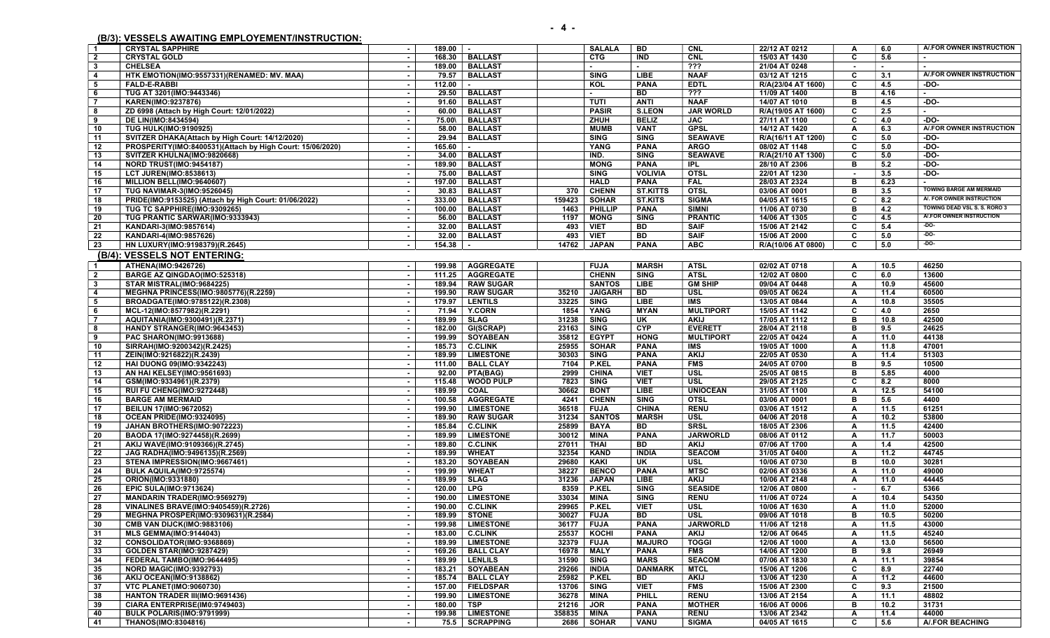## (B/3): VESSELS AWAITING EMPLOYEMENT/INSTRUCTION:

| $\overline{\mathbf{1}}$ | <b>CRYSTAL SAPPHIRE</b>                                   | 189.00<br>$\sim$ | h e l              | <b>SALALA</b>           | BD.             | <b>CNL</b>       | 22/12 AT 0212      | A            | 6.0    | A/FOR OWNER INSTRUCTION        |
|-------------------------|-----------------------------------------------------------|------------------|--------------------|-------------------------|-----------------|------------------|--------------------|--------------|--------|--------------------------------|
| $\overline{2}$          | <b>CRYSTAL GOLD</b>                                       | 168.30<br>$\sim$ | <b>BALLAST</b>     | <b>CTG</b>              | <b>IND</b>      | <b>CNL</b>       | 15/03 AT 1430      | C            | 5.6    |                                |
| $\overline{\mathbf{3}}$ | <b>CHELSEA</b>                                            | 189.00<br>$\sim$ | <b>BALLAST</b>     | $\sim$                  | $\sim$          | ???              | 21/04 AT 0248      | $\sim$       | $\sim$ | $\blacksquare$                 |
| $\overline{4}$          | HTK EMOTION(IMO:9557331)(RENAMED: MV. MAA)                | 79.57<br>$\sim$  | <b>BALLAST</b>     | <b>SING</b>             | LIBE            | <b>NAAF</b>      | 03/12 AT 1215      | C            | 3.1    | A/.FOR OWNER INSTRUCTION       |
| 5                       | <b>FALD-E-RABBI</b>                                       | 112.00           |                    | KOL                     | <b>PANA</b>     | <b>EDTL</b>      | R/A(23/04 AT 1600) | C            | 4.5    | -DO-                           |
| 6                       | TUG AT 3201(IMO:9443346)                                  | 29.50<br>$\sim$  | <b>BALLAST</b>     |                         | BD              | $\overline{??}$  | 11/09 AT 1400      | B            | 4.16   |                                |
| $\overline{7}$          | KAREN(IMO:9237876)                                        | 91.60<br>$\sim$  | <b>BALLAST</b>     | <b>TUTI</b>             | <b>ANTI</b>     | <b>NAAF</b>      | 14/07 AT 1010      | в            | 4.5    | -DO-                           |
| 8                       | ZD 6998 (Attach by High Court: 12/01/2022)                | 60.00<br>$\sim$  | <b>BALLAST</b>     | <b>PASIR</b>            | <b>S.LEON</b>   | <b>JAR WORLD</b> | R/A(19/05 AT 1600) | C            | 2.5    | $\sim$                         |
|                         |                                                           |                  | <b>BALLAST</b>     |                         | <b>BELIZ</b>    | <b>JAC</b>       |                    | C            |        | $-DO-$                         |
| 9                       | DE LIN(IMO:8434594)                                       | 75.00\<br>$\sim$ |                    | ZHUH                    |                 |                  | 27/11 AT 1100      |              | 4.0    | A/.FOR OWNER INSTRUCTION       |
| 10                      | <b>TUG HULK(IMO:9190925)</b>                              | 58.00<br>$\sim$  | <b>BALLAST</b>     | <b>MUMB</b>             | <b>VANT</b>     | <b>GPSL</b>      | 14/12 AT 1420      | Α            | 6.3    |                                |
| 11                      | SVITZER DHAKA(Attach by High Court: 14/12/2020)           | 29.94            | <b>BALLAST</b>     | <b>SING</b>             | <b>SING</b>     | <b>SEAWAVE</b>   | R/A(16/11 AT 1200) | C            | 5.0    | $-DO-$                         |
| 12                      | PROSPERITY(IMO:8400531)(Attach by High Court: 15/06/2020) | 165.60           |                    | <b>YANG</b>             | <b>PANA</b>     | <b>ARGO</b>      | 08/02 AT 1148      | C            | 5.0    | -DO-                           |
| 13                      | SVITZER KHULNA(IMO:9820668)                               | 34.00<br>$\sim$  | <b>BALLAST</b>     | IND.                    | <b>SING</b>     | <b>SEAWAVE</b>   | R/A(21/10 AT 1300) | C            | 5.0    | -DO-                           |
| 14                      | <b>NORD TRUST(IMO:9454187)</b>                            | 189.90<br>$\sim$ | <b>BALLAST</b>     | <b>MONG</b>             | <b>PANA</b>     | <b>IPL</b>       | 28/10 AT 2306      | в            | 5.2    | -DO-                           |
| 15                      | <b>LCT JUREN(IMO:8538613)</b>                             | 75.00<br>$\sim$  | <b>BALLAST</b>     | <b>SING</b>             | <b>VOLIVIA</b>  | <b>OTSL</b>      | 22/01 AT 1230      | $\sim$       | 3.5    | -DO-                           |
| 16                      | MILLION BELL(IMO:9640607)                                 | 197.00<br>$\sim$ | <b>BALLAST</b>     | <b>HALD</b>             | <b>PANA</b>     | <b>FAL</b>       | 28/03 AT 2324      | в            | 6.23   | $\blacksquare$                 |
| 17                      | TUG NAVIMAR-3(IMO:9526045)                                | 30.83            | <b>BALLAST</b>     | 370<br><b>CHENN</b>     | <b>ST.KITTS</b> | <b>OTSL</b>      | 03/06 AT 0001      | в            | 3.5    | <b>TOWING BARGE AM MERMAID</b> |
| 18                      | PRIDE(IMO:9153525) (Attach by High Court: 01/06/2022)     | 333.00<br>$\sim$ | <b>BALLAST</b>     | 159423<br><b>SOHAR</b>  | <b>ST.KITS</b>  | <b>SIGMA</b>     | 04/05 AT 1615      | C            | 8.2    | A/. FOR OWNER INSTRUCTION      |
| 19                      | TUG TC SAPPHIRE(IMO:9309265)                              | 100.00           | <b>BALLAST</b>     | 1463<br><b>PHILLIP</b>  | <b>PANA</b>     | <b>SIMNI</b>     | 11/06 AT 0730      | в            | 4.2    | TOWING DEAD VSL S. S. RORO 3   |
| $\overline{20}$         | TUG PRANTIC SARWAR(IMO:9333943)                           | 56.00<br>$\sim$  | <b>BALLAST</b>     | 1197<br><b>MONG</b>     | <b>SING</b>     | <b>PRANTIC</b>   | 14/06 AT 1305      | C            | 4.5    | A/.FOR OWNER INSTRUCTION       |
| 21                      | KANDARI-3(IMO:9857614)                                    | 32.00<br>$\sim$  | <b>BALLAST</b>     | 493<br><b>VIET</b>      | <b>BD</b>       | <b>SAIF</b>      | 15/06 AT 2142      | C            | 5.4    | $-100-$                        |
| 22                      | KANDARI-4(IMO:9857626)                                    | 32.00            | <b>BALLAST</b>     | 493                     | BD              | <b>SAIF</b>      | 15/06 AT 2000      | C            | 5.0    | $-DO-$                         |
|                         |                                                           | $\sim$           |                    | <b>VIET</b>             |                 |                  |                    |              |        | $-DO-$                         |
| 23                      | HN LUXURY(IMO:9198379)(R.2645)                            | 154.38           | $\blacksquare$     | 14762<br><b>JAPAN</b>   | <b>PANA</b>     | <b>ABC</b>       | R/A(10/06 AT 0800) | C            | 5.0    |                                |
|                         | (B/4): VESSELS NOT ENTERING:                              |                  |                    |                         |                 |                  |                    |              |        |                                |
| $\overline{1}$          | ATHENA(IMO:9426726)                                       | $\sim$           | 199.98   AGGREGATE | <b>FUJA</b>             | <b>MARSH</b>    | <b>ATSL</b>      | 02/02 AT 0718      | A            | 10.5   | 46250                          |
| $\overline{\mathbf{2}}$ | BARGE AZ QINGDAO(IMO:525318)                              | 111.25           | <b>AGGREGATE</b>   | <b>CHENN</b>            | <b>SING</b>     | <b>ATSL</b>      | 12/02 AT 0800      | C            | 6.0    | 13600                          |
| $\mathbf{3}$            | STAR MISTRAL(IMO:9684225)                                 | $\sim$           | 189.94   RAW SUGAR | <b>SANTOS</b>           | LIBE            | <b>GM SHIP</b>   | 09/04 AT 0448      | Α            | 10.9   | 45600                          |
| $\overline{\mathbf{4}}$ | MEGHNA PRINCESS(IMO:9805776)(R.2259)                      | 199.90<br>$\sim$ | <b>RAW SUGAR</b>   | 35210<br><b>JAIGARH</b> | <b>BD</b>       | <b>USL</b>       | 09/05 AT 0624      | $\mathbf{A}$ | 11.4   | 60500                          |
|                         |                                                           |                  |                    |                         |                 | <b>IMS</b>       | 13/05 AT 0844      |              |        |                                |
| 5                       | BROADGATE(IMO:9785122)(R.2308)                            | 179.97<br>$\sim$ | <b>LENTILS</b>     | 33225<br><b>SING</b>    | LIBE            |                  |                    | Α            | 10.8   | 35505                          |
| 6                       | MCL-12(IMO:8577982)(R.2291)                               | 71.94<br>$\sim$  | <b>Y.CORN</b>      | 1854<br>YANG            | <b>MYAN</b>     | <b>MULTIPORT</b> | 15/05 AT 1142      | C            | 4.0    | 2650                           |
| $\overline{\mathbf{7}}$ | AQUITANIA(IMO:9300491)(R.2371)                            | 189.99<br>$\sim$ | <b>SLAG</b>        | 31238<br><b>SING</b>    | UK              | <b>AKIJ</b>      | 17/05 AT 1112      | B            | 10.8   | 42500                          |
| 8                       | HANDY STRANGER(IMO:9643453)                               | 182.00           | <b>GI(SCRAP)</b>   | 23163<br><b>SING</b>    | <b>CYP</b>      | <b>EVERETT</b>   | 28/04 AT 2118      | B            | 9.5    | 24625                          |
| 9                       | PAC SHARON(IMO:9913688)                                   | 199.99           | <b>SOYABEAN</b>    | 35812<br><b>EGYPT</b>   | <b>HONG</b>     | <b>MULTIPORT</b> | 22/05 AT 0424      | A            | 11.0   | 44138                          |
| 10                      | SIRRAH(IMO:9200342)(R.2425)                               | 185.73<br>$\sim$ | <b>C.CLINK</b>     | 25955<br><b>SOHAR</b>   | <b>PANA</b>     | <b>IMS</b>       | 19/05 AT 1000      | A            | 11.8   | 47001                          |
| 11                      | ZEIN(IMO:9216822)(R.2439)                                 | 189.99<br>$\sim$ | <b>LIMESTONE</b>   | 30303<br><b>SING</b>    | <b>PANA</b>     | <b>AKIJ</b>      | 22/05 AT 0530      | $\mathbf{A}$ | 11.4   | 51303                          |
| 12                      | <b>HAI DUONG 09(IMO:9342243)</b>                          | 111.00<br>$\sim$ | <b>BALL CLAY</b>   | <b>P.KEL</b><br>7104    | <b>PANA</b>     | <b>FMS</b>       | 24/05 AT 0700      | в            | 9.5    | 10500                          |
| 13                      | AN HAI KELSEY(IMO:9561693)                                | 92.00<br>$\sim$  | PTA(BAG)           | 2999<br><b>CHINA</b>    | <b>VIET</b>     | <b>USL</b>       | 25/05 AT 0815      | в            | 5.85   | 4000                           |
| 14                      | GSM(IMO:9334961)(R.2379)                                  | 115.48<br>$\sim$ | <b>WOOD PULP</b>   | 7823<br><b>SING</b>     | <b>VIET</b>     | <b>USL</b>       | 29/05 AT 2125      | C            | 8.2    | 8000                           |
| 15                      | RUI FU CHENG(IMO:9272448)                                 | 189.99           | COAL               | 30662<br><b>BONT</b>    | <b>LIBE</b>     | <b>UNIOCEAN</b>  | 31/05 AT 1100      | $\mathbf{A}$ | 12.5   | 54100                          |
| 16                      | <b>BARGE AM MERMAID</b>                                   | 100.58           | <b>AGGREGATE</b>   | 4241<br><b>CHENN</b>    | <b>SING</b>     | <b>OTSL</b>      | 03/06 AT 0001      | B            | 5.6    | 4400                           |
| 17                      | <b>BEILUN 17(IMO:9672052)</b>                             | 199.90<br>$\sim$ | <b>LIMESTONE</b>   | 36518<br><b>FUJA</b>    | <b>CHINA</b>    | <b>RENU</b>      | 03/06 AT 1512      | $\mathbf{A}$ | 11.5   | 61251                          |
| 18                      | OCEAN PRIDE(IMO:9324095)                                  | 189.90<br>$\sim$ | <b>RAW SUGAR</b>   | 31234<br><b>SANTOS</b>  | <b>MARSH</b>    | <b>USL</b>       | 04/06 AT 2018      | A            | 10.2   | 53800                          |
|                         |                                                           |                  |                    |                         |                 |                  |                    |              |        |                                |
| 19                      | JAHAN BROTHERS(IMO:9072223)                               | 185.84<br>$\sim$ | <b>C.CLINK</b>     | 25899<br><b>BAYA</b>    | BD              | <b>SRSL</b>      | 18/05 AT 2306      | A            | 11.5   | 42400                          |
| 20                      | BAODA 17(IMO:9274458)(R.2699)                             | 189.99<br>$\sim$ | <b>LIMESTONE</b>   | 30012<br><b>MINA</b>    | <b>PANA</b>     | <b>JARWORLD</b>  | 08/06 AT 0112      | A            | 11.7   | 50003                          |
| $\overline{21}$         | AKIJ WAVE(IMO:9109366)(R.2745)                            | 189.80<br>$\sim$ | <b>C.CLINK</b>     | 27011<br><b>THAI</b>    | BD              | <b>AKIJ</b>      | 07/06 AT 1700      | $\mathbf{A}$ | 1.4    | 42500                          |
| 22                      | JAG RADHA(IMO:9496135)(R.2569)                            | 189.99           | <b>WHEAT</b>       | 32354<br><b>KAND</b>    | <b>INDIA</b>    | <b>SEACOM</b>    | 31/05 AT 0400      | A            | 11.2   | 44745                          |
| 23                      | STENA IMPRESSION(IMO:9667461)                             | 183.20<br>$\sim$ | <b>SOYABEAN</b>    | 29680<br><b>KAKI</b>    | UK              | <b>USL</b>       | 10/06 AT 0730      | B            | 10.0   | 30281                          |
| 24                      | BULK AQUILA(IMO:9725574)                                  | 199.99           | <b>WHEAT</b>       | 38227<br><b>BENCO</b>   | <b>PANA</b>     | <b>MTSC</b>      | 02/06 AT 0336      | $\mathbf{A}$ | 11.0   | 49000                          |
| $\overline{25}$         | ORION(IMO:9331880)                                        | 189.99<br>$\sim$ | <b>SLAG</b>        | 31236<br><b>JAPAN</b>   | LIBE            | <b>AKIJ</b>      | 10/06 AT 2148      | $\mathbf{A}$ | 11.0   | 44445                          |
| 26                      | <b>EPIC SULA(IMO:9713624)</b>                             | 120.00<br>$\sim$ | <b>LPG</b>         | 8359<br><b>P.KEL</b>    | <b>SING</b>     | <b>SEASIDE</b>   | 12/06 AT 0800      | $\sim$       | 6.7    | 5366                           |
| 27                      | <b>MANDARIN TRADER(IMO:9569279)</b>                       | 190.00           | <b>LIMESTONE</b>   | 33034<br><b>MINA</b>    | <b>SING</b>     | <b>RENU</b>      | 11/06 AT 0724      | Α            | 10.4   | 54350                          |
| 28                      | <b>VINALINES BRAVE(IMO:9405459)(R.2726)</b>               | $\sim$           | 190.00   C.CLINK   | 29965<br><b>P.KEL</b>   | <b>VIET</b>     | USL              | 10/06 AT 1630      | A            | 11.0   | 52000                          |
| $\overline{29}$         | MEGHNA PROSPER(IMO:9309631)(R.2584)                       | $\sim$           | 189.99 STONE       | 30027<br><b>FUJA</b>    | BD              | <b>USL</b>       | 09/06 AT 1018      | в            | 10.5   | 50200                          |
| 30                      | <b>CMB VAN DIJCK(IMO:9883106)</b>                         | $\sim$           | 199.98   LIMESTONE | 36177<br><b>FUJA</b>    | <b>PANA</b>     | <b>JARWORLD</b>  | 11/06 AT 1218      | A            | 11.5   | 43000                          |
| 31                      | <b>MLS GEMMA(IMO:9144043)</b>                             | 183.00<br>$\sim$ | <b>C.CLINK</b>     | 25537<br>KOCHI          | <b>PANA</b>     | <b>AKIJ</b>      | 12/06 AT 0645      | Α            | 11.5   | 45240                          |
|                         | CONSOLIDATOR(IMO:9368869)                                 |                  |                    |                         |                 | <b>TOGGI</b>     |                    |              | 13.0   | 56500                          |
| 32                      |                                                           | $\sim$           | 189.99   LIMESTONE | 32379<br><b>FUJA</b>    | <b>MAJURO</b>   |                  | 12/06 AT 1000      | A            |        |                                |
| 33                      | <b>GOLDEN STAR(IMO:9287429)</b>                           | $\sim$           | 169.26   BALL CLAY | 16978<br><b>MALY</b>    | <b>PANA</b>     | <b>FMS</b>       | 14/06 AT 1200      | в            | 9.8    | 26949                          |
| 34                      | FEDERAL TAMBO(IMO:9644495)                                | $\sim$           | 189.99   LENLILS   | 31590<br><b>SING</b>    | <b>MARS</b>     | <b>SEACOM</b>    | 07/06 AT 1830      | Α            | 11.1   | 39854                          |
| 35                      | NORD MAGIC(IMO:9392793)                                   | 183.21<br>$\sim$ | <b>SOYABEAN</b>    | 29266<br><b>INDIA</b>   | <b>DANMARK</b>  | <b>MTCL</b>      | 15/06 AT 1206      | c            | 8.9    | 22740                          |
| 36                      | <b>AKIJ OCEAN(IMO:9138862)</b>                            | 185.74           | <b>BALL CLAY</b>   | 25982<br><b>P.KEL</b>   | BD.             | <b>AKIJ</b>      | 13/06 AT 1230      | A            | 11.2   | 44600                          |
| 37                      | <b>VTC PLANET(IMO:9060730)</b>                            | $\sim$           | 157.00   FIELDSPAR | 13706<br><b>SING</b>    | <b>VIET</b>     | <b>FMS</b>       | 15/06 AT 2300      | C            | 9.3    | 21500                          |
| 38                      | <b>HANTON TRADER III(IMO:9691436)</b>                     | $\sim$           | 199.90 LIMESTONE   | 36278<br>MINA           | PHILL           | <b>RENU</b>      | 13/06 AT 2154      | A            | 11.1   | 48802                          |
| 39                      | CIARA ENTERPRISE(IM0:9749403)                             | $\sim$           | 180.00 TSP         | 21216<br><b>JOR</b>     | <b>PANA</b>     | <b>MOTHER</b>    | 16/06 AT 0006      | в            | 10.2   | 31731                          |
| 40                      | BULK POLARIS(IMO:9791999)                                 | $\sim$           | 199.98   LIMESTONE | 358835<br><b>MINA</b>   | <b>PANA</b>     | <b>RENU</b>      | 13/06 AT 2342      | Α            | 11.4   | 44000                          |
| 41                      | <b>THANOS(IMO:8304816)</b>                                | $\sim$           | 75.5 SCRAPPING     | 2686<br><b>SOHAR</b>    | <b>VANU</b>     | <b>SIGMA</b>     | 04/05 AT 1615      | C            | 5.6    | A/.FOR BEACHING                |